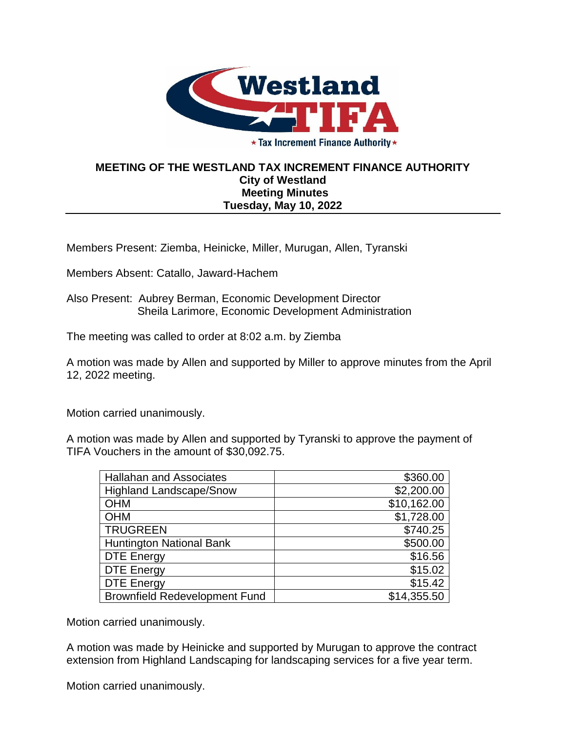

★ Tax Increment Finance Authority ★

## **MEETING OF THE WESTLAND TAX INCREMENT FINANCE AUTHORITY City of Westland Meeting Minutes Tuesday, May 10, 2022**

Members Present: Ziemba, Heinicke, Miller, Murugan, Allen, Tyranski

Members Absent: Catallo, Jaward-Hachem

Also Present: Aubrey Berman, Economic Development Director Sheila Larimore, Economic Development Administration

The meeting was called to order at 8:02 a.m. by Ziemba

A motion was made by Allen and supported by Miller to approve minutes from the April 12, 2022 meeting.

Motion carried unanimously.

A motion was made by Allen and supported by Tyranski to approve the payment of TIFA Vouchers in the amount of \$30,092.75.

| <b>Hallahan and Associates</b>       | \$360.00    |
|--------------------------------------|-------------|
| <b>Highland Landscape/Snow</b>       | \$2,200.00  |
| <b>OHM</b>                           | \$10,162.00 |
| <b>OHM</b>                           | \$1,728.00  |
| <b>TRUGREEN</b>                      | \$740.25    |
| <b>Huntington National Bank</b>      | \$500.00    |
| <b>DTE Energy</b>                    | \$16.56     |
| <b>DTE Energy</b>                    | \$15.02     |
| <b>DTE Energy</b>                    | \$15.42     |
| <b>Brownfield Redevelopment Fund</b> | \$14,355.50 |

Motion carried unanimously.

A motion was made by Heinicke and supported by Murugan to approve the contract extension from Highland Landscaping for landscaping services for a five year term.

Motion carried unanimously.